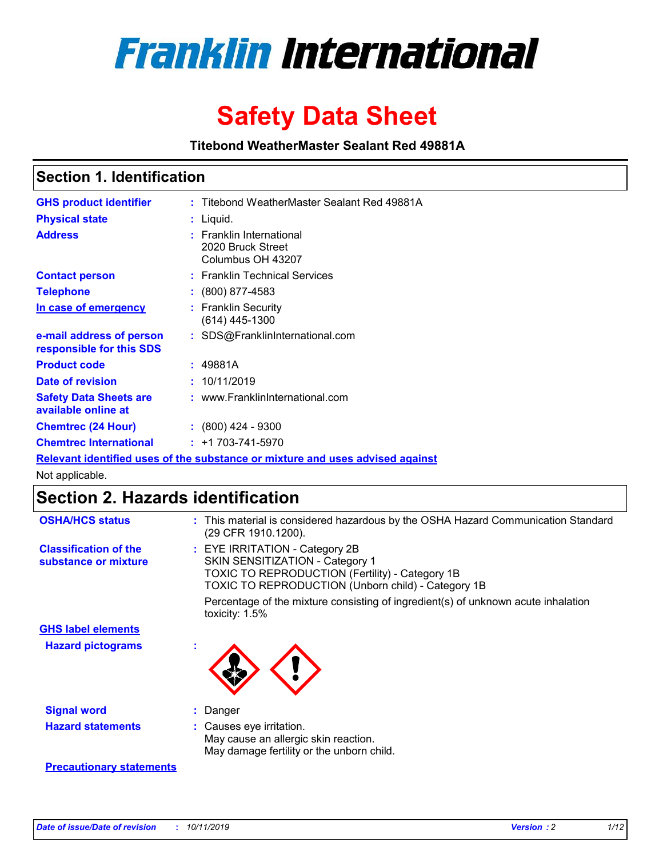

# **Safety Data Sheet**

**Titebond WeatherMaster Sealant Red 49881A**

### **Section 1. Identification**

| <b>GHS product identifier</b>                        | : Titebond WeatherMaster Sealant Red 49881A                                   |
|------------------------------------------------------|-------------------------------------------------------------------------------|
| <b>Physical state</b>                                | : Liquid.                                                                     |
| <b>Address</b>                                       | : Franklin International<br>2020 Bruck Street<br>Columbus OH 43207            |
| <b>Contact person</b>                                | : Franklin Technical Services                                                 |
| <b>Telephone</b>                                     | $\div$ (800) 877-4583                                                         |
| In case of emergency                                 | : Franklin Security<br>(614) 445-1300                                         |
| e-mail address of person<br>responsible for this SDS | : SDS@FranklinInternational.com                                               |
| <b>Product code</b>                                  | : 49881A                                                                      |
| Date of revision                                     | : 10/11/2019                                                                  |
| <b>Safety Data Sheets are</b><br>available online at | : www.FranklinInternational.com                                               |
| <b>Chemtrec (24 Hour)</b>                            | $\div$ (800) 424 - 9300                                                       |
| <b>Chemtrec International</b>                        | $: +1703 - 741 - 5970$                                                        |
|                                                      | Relevant identified uses of the substance or mixture and uses advised against |

Not applicable.

## **Section 2. Hazards identification**

| <b>OSHA/HCS status</b>                               | : This material is considered hazardous by the OSHA Hazard Communication Standard<br>(29 CFR 1910.1200).                                                                                 |
|------------------------------------------------------|------------------------------------------------------------------------------------------------------------------------------------------------------------------------------------------|
| <b>Classification of the</b><br>substance or mixture | : EYE IRRITATION - Category 2B<br>SKIN SENSITIZATION - Category 1<br><b>TOXIC TO REPRODUCTION (Fertility) - Category 1B</b><br><b>TOXIC TO REPRODUCTION (Unborn child) - Category 1B</b> |
|                                                      | Percentage of the mixture consisting of ingredient(s) of unknown acute inhalation<br>toxicity: $1.5\%$                                                                                   |
| <b>GHS label elements</b>                            |                                                                                                                                                                                          |
| <b>Hazard pictograms</b>                             |                                                                                                                                                                                          |
| <b>Signal word</b>                                   | : Danger                                                                                                                                                                                 |
| <b>Hazard statements</b>                             | : Causes eye irritation.<br>May cause an allergic skin reaction.<br>May damage fertility or the unborn child.                                                                            |
| <b>Precautionary statements</b>                      |                                                                                                                                                                                          |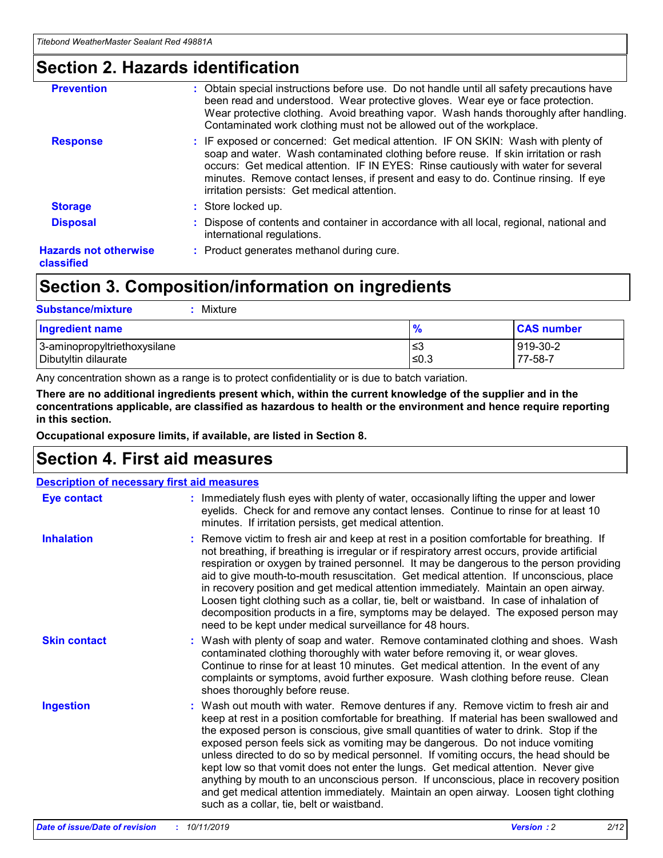### **Section 2. Hazards identification**

| <b>Prevention</b>                          | : Obtain special instructions before use. Do not handle until all safety precautions have<br>been read and understood. Wear protective gloves. Wear eye or face protection.<br>Wear protective clothing. Avoid breathing vapor. Wash hands thoroughly after handling.<br>Contaminated work clothing must not be allowed out of the workplace.                                                        |
|--------------------------------------------|------------------------------------------------------------------------------------------------------------------------------------------------------------------------------------------------------------------------------------------------------------------------------------------------------------------------------------------------------------------------------------------------------|
| <b>Response</b>                            | : IF exposed or concerned: Get medical attention. IF ON SKIN: Wash with plenty of<br>soap and water. Wash contaminated clothing before reuse. If skin irritation or rash<br>occurs: Get medical attention. IF IN EYES: Rinse cautiously with water for several<br>minutes. Remove contact lenses, if present and easy to do. Continue rinsing. If eye<br>irritation persists: Get medical attention. |
| <b>Storage</b>                             | : Store locked up.                                                                                                                                                                                                                                                                                                                                                                                   |
| <b>Disposal</b>                            | : Dispose of contents and container in accordance with all local, regional, national and<br>international regulations.                                                                                                                                                                                                                                                                               |
| <b>Hazards not otherwise</b><br>classified | : Product generates methanol during cure.                                                                                                                                                                                                                                                                                                                                                            |
|                                            |                                                                                                                                                                                                                                                                                                                                                                                                      |

### **Section 3. Composition/information on ingredients**

| <b>Substance/mixture</b><br>Mixture                  |               |                     |
|------------------------------------------------------|---------------|---------------------|
| <b>Ingredient name</b>                               | $\frac{9}{6}$ | <b>CAS number</b>   |
| 3-aminopropyltriethoxysilane<br>Dibutyltin dilaurate | ≤3<br>≤0.3    | 919-30-2<br>77-58-7 |

Any concentration shown as a range is to protect confidentiality or is due to batch variation.

**There are no additional ingredients present which, within the current knowledge of the supplier and in the concentrations applicable, are classified as hazardous to health or the environment and hence require reporting in this section.**

**Occupational exposure limits, if available, are listed in Section 8.**

### **Section 4. First aid measures**

| <b>Description of necessary first aid measures</b> |                                                                                                                                                                                                                                                                                                                                                                                                                                                                                                                                                                                                                                                                                                                                                                           |  |  |  |
|----------------------------------------------------|---------------------------------------------------------------------------------------------------------------------------------------------------------------------------------------------------------------------------------------------------------------------------------------------------------------------------------------------------------------------------------------------------------------------------------------------------------------------------------------------------------------------------------------------------------------------------------------------------------------------------------------------------------------------------------------------------------------------------------------------------------------------------|--|--|--|
| <b>Eye contact</b>                                 | : Immediately flush eyes with plenty of water, occasionally lifting the upper and lower<br>eyelids. Check for and remove any contact lenses. Continue to rinse for at least 10<br>minutes. If irritation persists, get medical attention.                                                                                                                                                                                                                                                                                                                                                                                                                                                                                                                                 |  |  |  |
| <b>Inhalation</b>                                  | : Remove victim to fresh air and keep at rest in a position comfortable for breathing. If<br>not breathing, if breathing is irregular or if respiratory arrest occurs, provide artificial<br>respiration or oxygen by trained personnel. It may be dangerous to the person providing<br>aid to give mouth-to-mouth resuscitation. Get medical attention. If unconscious, place<br>in recovery position and get medical attention immediately. Maintain an open airway.<br>Loosen tight clothing such as a collar, tie, belt or waistband. In case of inhalation of<br>decomposition products in a fire, symptoms may be delayed. The exposed person may<br>need to be kept under medical surveillance for 48 hours.                                                       |  |  |  |
| <b>Skin contact</b>                                | : Wash with plenty of soap and water. Remove contaminated clothing and shoes. Wash<br>contaminated clothing thoroughly with water before removing it, or wear gloves.<br>Continue to rinse for at least 10 minutes. Get medical attention. In the event of any<br>complaints or symptoms, avoid further exposure. Wash clothing before reuse. Clean<br>shoes thoroughly before reuse.                                                                                                                                                                                                                                                                                                                                                                                     |  |  |  |
| <b>Ingestion</b>                                   | : Wash out mouth with water. Remove dentures if any. Remove victim to fresh air and<br>keep at rest in a position comfortable for breathing. If material has been swallowed and<br>the exposed person is conscious, give small quantities of water to drink. Stop if the<br>exposed person feels sick as vomiting may be dangerous. Do not induce vomiting<br>unless directed to do so by medical personnel. If vomiting occurs, the head should be<br>kept low so that vomit does not enter the lungs. Get medical attention. Never give<br>anything by mouth to an unconscious person. If unconscious, place in recovery position<br>and get medical attention immediately. Maintain an open airway. Loosen tight clothing<br>such as a collar, tie, belt or waistband. |  |  |  |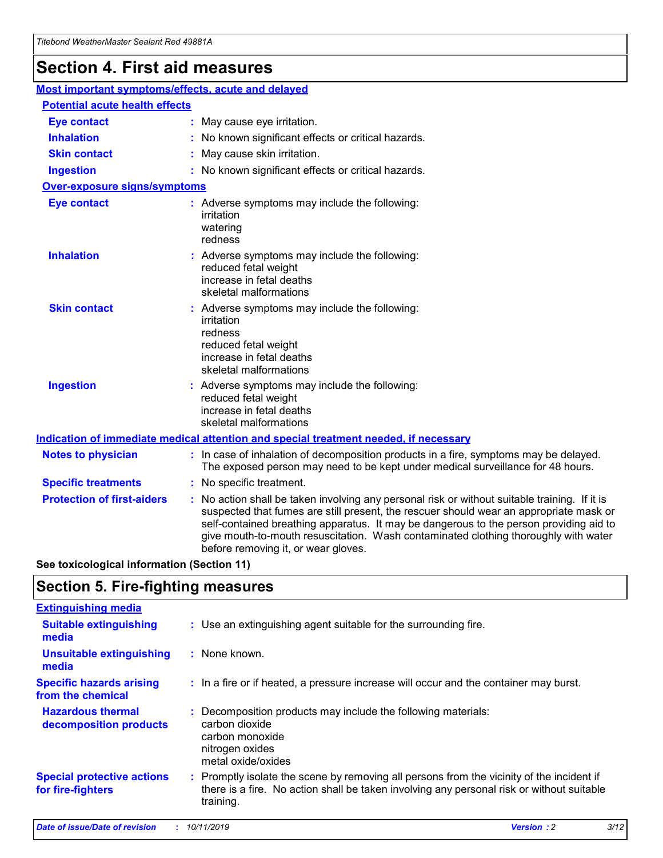## **Section 4. First aid measures**

| Most important symptoms/effects, acute and delayed |  |                                                                                                                                                                                                                                                                                                                                                                                                                 |  |  |
|----------------------------------------------------|--|-----------------------------------------------------------------------------------------------------------------------------------------------------------------------------------------------------------------------------------------------------------------------------------------------------------------------------------------------------------------------------------------------------------------|--|--|
| <b>Potential acute health effects</b>              |  |                                                                                                                                                                                                                                                                                                                                                                                                                 |  |  |
| <b>Eye contact</b>                                 |  | : May cause eye irritation.                                                                                                                                                                                                                                                                                                                                                                                     |  |  |
| <b>Inhalation</b>                                  |  | : No known significant effects or critical hazards.                                                                                                                                                                                                                                                                                                                                                             |  |  |
| <b>Skin contact</b>                                |  | : May cause skin irritation.                                                                                                                                                                                                                                                                                                                                                                                    |  |  |
| <b>Ingestion</b>                                   |  | : No known significant effects or critical hazards.                                                                                                                                                                                                                                                                                                                                                             |  |  |
| Over-exposure signs/symptoms                       |  |                                                                                                                                                                                                                                                                                                                                                                                                                 |  |  |
| <b>Eye contact</b>                                 |  | : Adverse symptoms may include the following:<br>irritation<br>watering<br>redness                                                                                                                                                                                                                                                                                                                              |  |  |
| <b>Inhalation</b>                                  |  | : Adverse symptoms may include the following:<br>reduced fetal weight<br>increase in fetal deaths<br>skeletal malformations                                                                                                                                                                                                                                                                                     |  |  |
| <b>Skin contact</b>                                |  | : Adverse symptoms may include the following:<br>irritation<br>redness<br>reduced fetal weight<br>increase in fetal deaths<br>skeletal malformations                                                                                                                                                                                                                                                            |  |  |
| <b>Ingestion</b>                                   |  | : Adverse symptoms may include the following:<br>reduced fetal weight<br>increase in fetal deaths<br>skeletal malformations                                                                                                                                                                                                                                                                                     |  |  |
|                                                    |  | <b>Indication of immediate medical attention and special treatment needed, if necessary</b>                                                                                                                                                                                                                                                                                                                     |  |  |
| <b>Notes to physician</b>                          |  | : In case of inhalation of decomposition products in a fire, symptoms may be delayed.<br>The exposed person may need to be kept under medical surveillance for 48 hours.                                                                                                                                                                                                                                        |  |  |
| <b>Specific treatments</b>                         |  | : No specific treatment.                                                                                                                                                                                                                                                                                                                                                                                        |  |  |
| <b>Protection of first-aiders</b>                  |  | : No action shall be taken involving any personal risk or without suitable training. If it is<br>suspected that fumes are still present, the rescuer should wear an appropriate mask or<br>self-contained breathing apparatus. It may be dangerous to the person providing aid to<br>give mouth-to-mouth resuscitation. Wash contaminated clothing thoroughly with water<br>before removing it, or wear gloves. |  |  |

**See toxicological information (Section 11)**

### **Section 5. Fire-fighting measures**

| <b>Extinguishing media</b>                             |                                                                                                                                                                                                     |
|--------------------------------------------------------|-----------------------------------------------------------------------------------------------------------------------------------------------------------------------------------------------------|
| <b>Suitable extinguishing</b><br>media                 | : Use an extinguishing agent suitable for the surrounding fire.                                                                                                                                     |
| <b>Unsuitable extinguishing</b><br>media               | : None known.                                                                                                                                                                                       |
| <b>Specific hazards arising</b><br>from the chemical   | : In a fire or if heated, a pressure increase will occur and the container may burst.                                                                                                               |
| <b>Hazardous thermal</b><br>decomposition products     | : Decomposition products may include the following materials:<br>carbon dioxide<br>carbon monoxide<br>nitrogen oxides<br>metal oxide/oxides                                                         |
| <b>Special protective actions</b><br>for fire-fighters | : Promptly isolate the scene by removing all persons from the vicinity of the incident if<br>there is a fire. No action shall be taken involving any personal risk or without suitable<br>training. |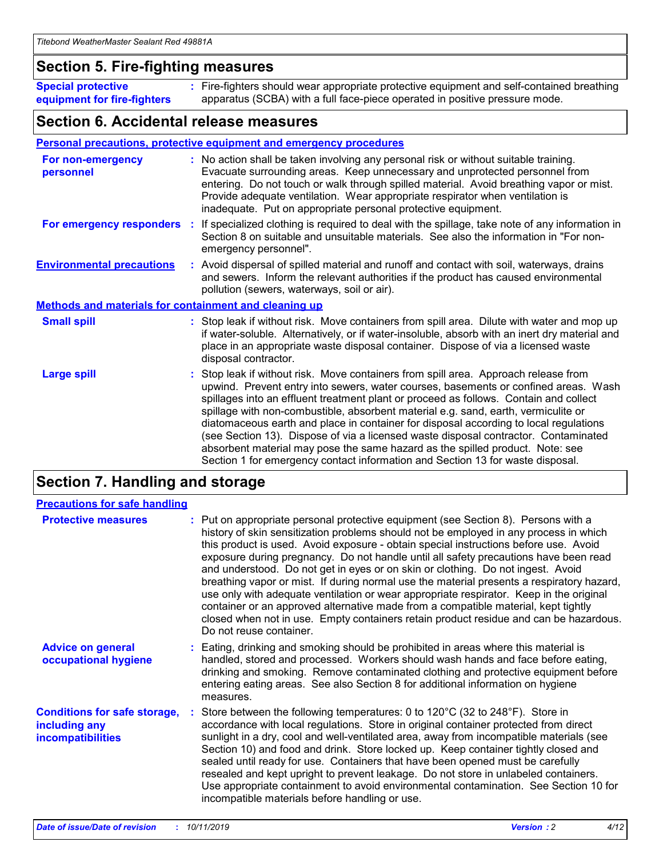### **Section 5. Fire-fighting measures**

**Special protective equipment for fire-fighters** Fire-fighters should wear appropriate protective equipment and self-contained breathing **:** apparatus (SCBA) with a full face-piece operated in positive pressure mode.

### **Section 6. Accidental release measures**

#### **Personal precautions, protective equipment and emergency procedures**

| For non-emergency<br>personnel                               | : No action shall be taken involving any personal risk or without suitable training.<br>Evacuate surrounding areas. Keep unnecessary and unprotected personnel from<br>entering. Do not touch or walk through spilled material. Avoid breathing vapor or mist.<br>Provide adequate ventilation. Wear appropriate respirator when ventilation is<br>inadequate. Put on appropriate personal protective equipment.                                                                                                                                                                                                                                                                                             |
|--------------------------------------------------------------|--------------------------------------------------------------------------------------------------------------------------------------------------------------------------------------------------------------------------------------------------------------------------------------------------------------------------------------------------------------------------------------------------------------------------------------------------------------------------------------------------------------------------------------------------------------------------------------------------------------------------------------------------------------------------------------------------------------|
|                                                              | For emergency responders : If specialized clothing is required to deal with the spillage, take note of any information in<br>Section 8 on suitable and unsuitable materials. See also the information in "For non-<br>emergency personnel".                                                                                                                                                                                                                                                                                                                                                                                                                                                                  |
| <b>Environmental precautions</b>                             | : Avoid dispersal of spilled material and runoff and contact with soil, waterways, drains<br>and sewers. Inform the relevant authorities if the product has caused environmental<br>pollution (sewers, waterways, soil or air).                                                                                                                                                                                                                                                                                                                                                                                                                                                                              |
| <b>Methods and materials for containment and cleaning up</b> |                                                                                                                                                                                                                                                                                                                                                                                                                                                                                                                                                                                                                                                                                                              |
| <b>Small spill</b>                                           | : Stop leak if without risk. Move containers from spill area. Dilute with water and mop up<br>if water-soluble. Alternatively, or if water-insoluble, absorb with an inert dry material and<br>place in an appropriate waste disposal container. Dispose of via a licensed waste<br>disposal contractor.                                                                                                                                                                                                                                                                                                                                                                                                     |
| <b>Large spill</b>                                           | : Stop leak if without risk. Move containers from spill area. Approach release from<br>upwind. Prevent entry into sewers, water courses, basements or confined areas. Wash<br>spillages into an effluent treatment plant or proceed as follows. Contain and collect<br>spillage with non-combustible, absorbent material e.g. sand, earth, vermiculite or<br>diatomaceous earth and place in container for disposal according to local regulations<br>(see Section 13). Dispose of via a licensed waste disposal contractor. Contaminated<br>absorbent material may pose the same hazard as the spilled product. Note: see<br>Section 1 for emergency contact information and Section 13 for waste disposal. |

### **Section 7. Handling and storage**

| <b>Precautions for safe handling</b>                                             |                                                                                                                                                                                                                                                                                                                                                                                                                                                                                                                                                                                                                                                                                                                                                                                                                                                  |
|----------------------------------------------------------------------------------|--------------------------------------------------------------------------------------------------------------------------------------------------------------------------------------------------------------------------------------------------------------------------------------------------------------------------------------------------------------------------------------------------------------------------------------------------------------------------------------------------------------------------------------------------------------------------------------------------------------------------------------------------------------------------------------------------------------------------------------------------------------------------------------------------------------------------------------------------|
| <b>Protective measures</b>                                                       | : Put on appropriate personal protective equipment (see Section 8). Persons with a<br>history of skin sensitization problems should not be employed in any process in which<br>this product is used. Avoid exposure - obtain special instructions before use. Avoid<br>exposure during pregnancy. Do not handle until all safety precautions have been read<br>and understood. Do not get in eyes or on skin or clothing. Do not ingest. Avoid<br>breathing vapor or mist. If during normal use the material presents a respiratory hazard,<br>use only with adequate ventilation or wear appropriate respirator. Keep in the original<br>container or an approved alternative made from a compatible material, kept tightly<br>closed when not in use. Empty containers retain product residue and can be hazardous.<br>Do not reuse container. |
| <b>Advice on general</b><br>occupational hygiene                                 | : Eating, drinking and smoking should be prohibited in areas where this material is<br>handled, stored and processed. Workers should wash hands and face before eating,<br>drinking and smoking. Remove contaminated clothing and protective equipment before<br>entering eating areas. See also Section 8 for additional information on hygiene<br>measures.                                                                                                                                                                                                                                                                                                                                                                                                                                                                                    |
| <b>Conditions for safe storage,</b><br>including any<br><b>incompatibilities</b> | : Store between the following temperatures: 0 to 120 $\degree$ C (32 to 248 $\degree$ F). Store in<br>accordance with local regulations. Store in original container protected from direct<br>sunlight in a dry, cool and well-ventilated area, away from incompatible materials (see<br>Section 10) and food and drink. Store locked up. Keep container tightly closed and<br>sealed until ready for use. Containers that have been opened must be carefully<br>resealed and kept upright to prevent leakage. Do not store in unlabeled containers.<br>Use appropriate containment to avoid environmental contamination. See Section 10 for<br>incompatible materials before handling or use.                                                                                                                                                   |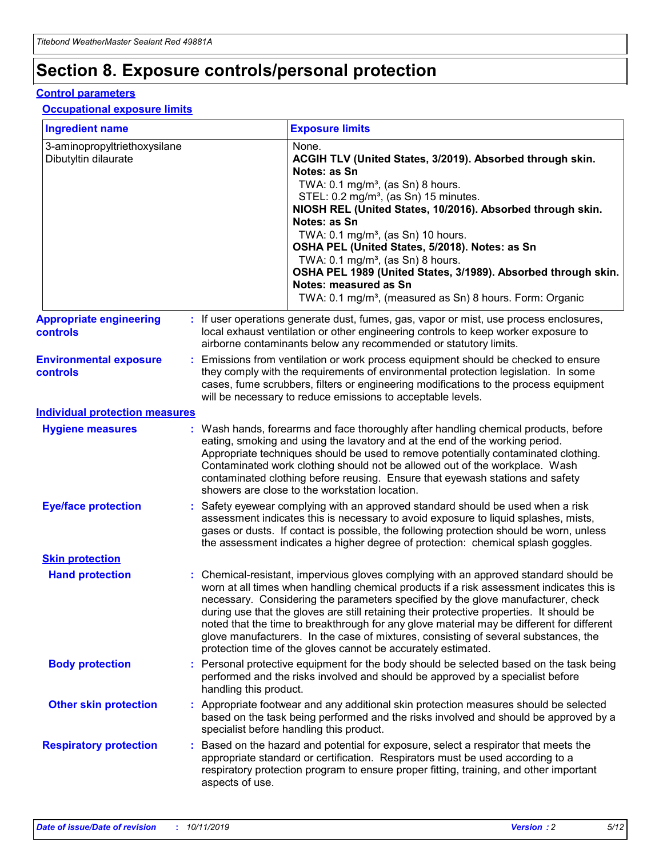## **Section 8. Exposure controls/personal protection**

#### **Control parameters**

#### **Occupational exposure limits**

| <b>Ingredient name</b>                               |    |                        | <b>Exposure limits</b>                                                                                                                                                                                                                                                                                                                                                                                                                                                                                                                                                                                                 |
|------------------------------------------------------|----|------------------------|------------------------------------------------------------------------------------------------------------------------------------------------------------------------------------------------------------------------------------------------------------------------------------------------------------------------------------------------------------------------------------------------------------------------------------------------------------------------------------------------------------------------------------------------------------------------------------------------------------------------|
| 3-aminopropyltriethoxysilane<br>Dibutyltin dilaurate |    |                        | None.<br>ACGIH TLV (United States, 3/2019). Absorbed through skin.<br>Notes: as Sn<br>TWA: $0.1 \text{ mg/m}^3$ , (as Sn) 8 hours.<br>STEL: 0.2 mg/m <sup>3</sup> , (as Sn) 15 minutes.<br>NIOSH REL (United States, 10/2016). Absorbed through skin.<br>Notes: as Sn<br>TWA: 0.1 mg/m <sup>3</sup> , (as Sn) 10 hours.<br>OSHA PEL (United States, 5/2018). Notes: as Sn<br>TWA: $0.1 \text{ mg/m}^3$ , (as Sn) 8 hours.<br>OSHA PEL 1989 (United States, 3/1989). Absorbed through skin.<br>Notes: measured as Sn<br>TWA: 0.1 mg/m <sup>3</sup> , (measured as Sn) 8 hours. Form: Organic                            |
| <b>Appropriate engineering</b><br>controls           |    |                        | : If user operations generate dust, fumes, gas, vapor or mist, use process enclosures,<br>local exhaust ventilation or other engineering controls to keep worker exposure to<br>airborne contaminants below any recommended or statutory limits.                                                                                                                                                                                                                                                                                                                                                                       |
| <b>Environmental exposure</b><br>controls            |    |                        | Emissions from ventilation or work process equipment should be checked to ensure<br>they comply with the requirements of environmental protection legislation. In some<br>cases, fume scrubbers, filters or engineering modifications to the process equipment<br>will be necessary to reduce emissions to acceptable levels.                                                                                                                                                                                                                                                                                          |
| <b>Individual protection measures</b>                |    |                        |                                                                                                                                                                                                                                                                                                                                                                                                                                                                                                                                                                                                                        |
| <b>Hygiene measures</b>                              |    |                        | : Wash hands, forearms and face thoroughly after handling chemical products, before<br>eating, smoking and using the lavatory and at the end of the working period.<br>Appropriate techniques should be used to remove potentially contaminated clothing.<br>Contaminated work clothing should not be allowed out of the workplace. Wash<br>contaminated clothing before reusing. Ensure that eyewash stations and safety<br>showers are close to the workstation location.                                                                                                                                            |
| <b>Eye/face protection</b>                           |    |                        | : Safety eyewear complying with an approved standard should be used when a risk<br>assessment indicates this is necessary to avoid exposure to liquid splashes, mists,<br>gases or dusts. If contact is possible, the following protection should be worn, unless<br>the assessment indicates a higher degree of protection: chemical splash goggles.                                                                                                                                                                                                                                                                  |
| <b>Skin protection</b>                               |    |                        |                                                                                                                                                                                                                                                                                                                                                                                                                                                                                                                                                                                                                        |
| <b>Hand protection</b>                               |    |                        | : Chemical-resistant, impervious gloves complying with an approved standard should be<br>worn at all times when handling chemical products if a risk assessment indicates this is<br>necessary. Considering the parameters specified by the glove manufacturer, check<br>during use that the gloves are still retaining their protective properties. It should be<br>noted that the time to breakthrough for any glove material may be different for different<br>glove manufacturers. In the case of mixtures, consisting of several substances, the<br>protection time of the gloves cannot be accurately estimated. |
| <b>Body protection</b>                               |    | handling this product. | Personal protective equipment for the body should be selected based on the task being<br>performed and the risks involved and should be approved by a specialist before                                                                                                                                                                                                                                                                                                                                                                                                                                                |
| <b>Other skin protection</b>                         |    |                        | : Appropriate footwear and any additional skin protection measures should be selected<br>based on the task being performed and the risks involved and should be approved by a<br>specialist before handling this product.                                                                                                                                                                                                                                                                                                                                                                                              |
| <b>Respiratory protection</b>                        | ÷. | aspects of use.        | Based on the hazard and potential for exposure, select a respirator that meets the<br>appropriate standard or certification. Respirators must be used according to a<br>respiratory protection program to ensure proper fitting, training, and other important                                                                                                                                                                                                                                                                                                                                                         |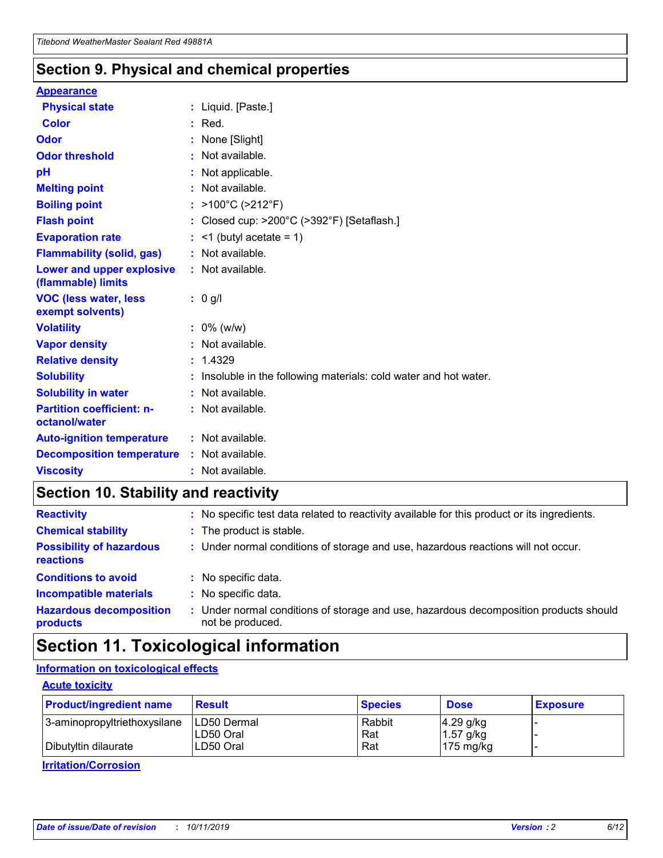### **Section 9. Physical and chemical properties**

#### **Appearance**

| <b>Physical state</b>                             | : Liquid. [Paste.]                                              |
|---------------------------------------------------|-----------------------------------------------------------------|
| Color                                             | $:$ Red.                                                        |
| Odor                                              | : None [Slight]                                                 |
| <b>Odor threshold</b>                             | : Not available.                                                |
| рH                                                | : Not applicable.                                               |
| <b>Melting point</b>                              | : Not available.                                                |
| <b>Boiling point</b>                              | : >100°C (>212°F)                                               |
| <b>Flash point</b>                                | : Closed cup: $>200^{\circ}$ C ( $>392^{\circ}$ F) [Setaflash.] |
| <b>Evaporation rate</b>                           | $:$ <1 (butyl acetate = 1)                                      |
| <b>Flammability (solid, gas)</b>                  | : Not available.                                                |
| Lower and upper explosive<br>(flammable) limits   | : Not available.                                                |
| <b>VOC (less water, less</b><br>exempt solvents)  | : 0 g/l                                                         |
| <b>Volatility</b>                                 | $: 0\%$ (w/w)                                                   |
| <b>Vapor density</b>                              | : Not available.                                                |
| <b>Relative density</b>                           | : 1.4329                                                        |
| <b>Solubility</b>                                 | Insoluble in the following materials: cold water and hot water. |
| <b>Solubility in water</b>                        | : Not available.                                                |
| <b>Partition coefficient: n-</b><br>octanol/water | $:$ Not available.                                              |
| <b>Auto-ignition temperature</b>                  | : Not available.                                                |
| <b>Decomposition temperature</b>                  | : Not available.                                                |
|                                                   |                                                                 |

### **Section 10. Stability and reactivity**

| <b>Reactivity</b>                            |    | : No specific test data related to reactivity available for this product or its ingredients.            |
|----------------------------------------------|----|---------------------------------------------------------------------------------------------------------|
| <b>Chemical stability</b>                    |    | : The product is stable.                                                                                |
| <b>Possibility of hazardous</b><br>reactions |    | : Under normal conditions of storage and use, hazardous reactions will not occur.                       |
| <b>Conditions to avoid</b>                   |    | : No specific data.                                                                                     |
| <b>Incompatible materials</b>                | ٠. | No specific data.                                                                                       |
| <b>Hazardous decomposition</b><br>products   | ÷. | Under normal conditions of storage and use, hazardous decomposition products should<br>not be produced. |

### **Section 11. Toxicological information**

#### **Information on toxicological effects**

#### **Acute toxicity**

| <b>Product/ingredient name</b> | <b>Result</b>           | <b>Species</b> | <b>Dose</b>                | <b>Exposure</b> |
|--------------------------------|-------------------------|----------------|----------------------------|-----------------|
| 3-aminopropyltriethoxysilane   | <b>ILD50 Dermal</b>     | Rabbit         | 4.29 g/kg                  |                 |
| Dibutyltin dilaurate           | ILD50 Oral<br>LD50 Oral | Rat<br>Rat     | $1.57$ g/kg<br>175 $mg/kg$ |                 |
|                                |                         |                |                            |                 |

**Irritation/Corrosion**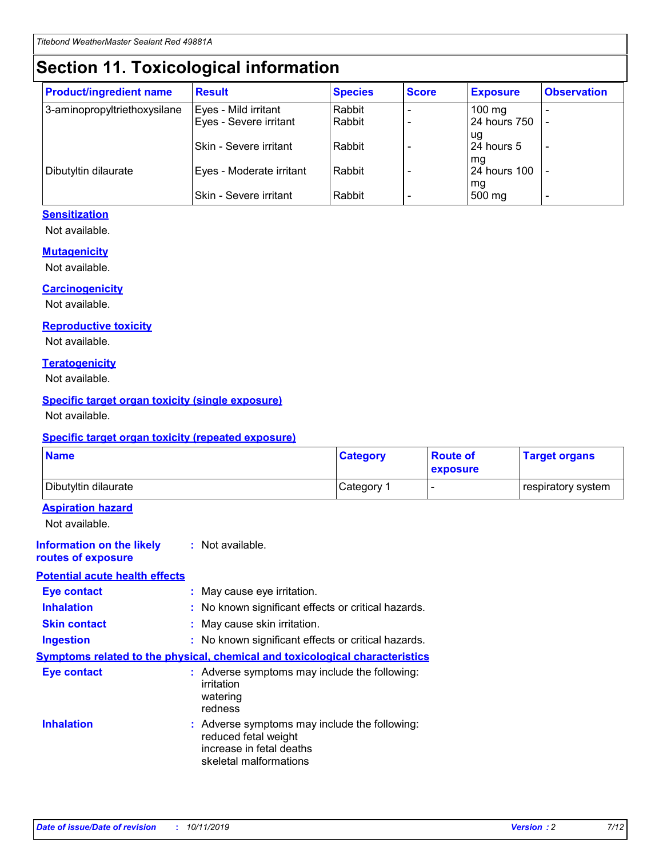## **Section 11. Toxicological information**

| <b>Product/ingredient name</b> | <b>Result</b>                 | <b>Species</b> | <b>Score</b> | <b>Exposure</b>    | <b>Observation</b> |
|--------------------------------|-------------------------------|----------------|--------------|--------------------|--------------------|
| 3-aminopropyltriethoxysilane   | Eyes - Mild irritant          | Rabbit         |              | $100$ mg           |                    |
|                                | Eyes - Severe irritant        | Rabbit         |              | 24 hours 750       |                    |
|                                |                               |                |              | ug                 |                    |
|                                | <b>Skin - Severe irritant</b> | Rabbit         |              | 24 hours 5         | ۰                  |
| Dibutyltin dilaurate           | Eyes - Moderate irritant      | Rabbit         |              | mq<br>24 hours 100 |                    |
|                                |                               |                |              | mg                 |                    |
|                                | Skin - Severe irritant        | Rabbit         |              | 500 mg             |                    |

#### **Sensitization**

Not available.

#### **Mutagenicity**

Not available.

#### **Carcinogenicity**

Not available.

#### **Reproductive toxicity**

Not available.

#### **Teratogenicity**

Not available.

#### **Specific target organ toxicity (single exposure)**

Not available.

#### **Specific target organ toxicity (repeated exposure)**

| <b>Name</b>                                                                  |                                                                                                                             | <b>Category</b> | <b>Route of</b><br>exposure  | <b>Target organs</b> |
|------------------------------------------------------------------------------|-----------------------------------------------------------------------------------------------------------------------------|-----------------|------------------------------|----------------------|
| Dibutyltin dilaurate                                                         |                                                                                                                             | Category 1      | $\qquad \qquad \blacksquare$ | respiratory system   |
| <b>Aspiration hazard</b><br>Not available.                                   |                                                                                                                             |                 |                              |                      |
| <b>Information on the likely</b><br>routes of exposure                       | : Not available.                                                                                                            |                 |                              |                      |
| <b>Potential acute health effects</b>                                        |                                                                                                                             |                 |                              |                      |
| <b>Eye contact</b>                                                           | : May cause eye irritation.                                                                                                 |                 |                              |                      |
| <b>Inhalation</b>                                                            | : No known significant effects or critical hazards.                                                                         |                 |                              |                      |
| <b>Skin contact</b>                                                          | : May cause skin irritation.                                                                                                |                 |                              |                      |
| <b>Ingestion</b>                                                             | : No known significant effects or critical hazards.                                                                         |                 |                              |                      |
| Symptoms related to the physical, chemical and toxicological characteristics |                                                                                                                             |                 |                              |                      |
| <b>Eye contact</b>                                                           | : Adverse symptoms may include the following:<br>irritation<br>watering<br>redness                                          |                 |                              |                      |
| <b>Inhalation</b>                                                            | : Adverse symptoms may include the following:<br>reduced fetal weight<br>increase in fetal deaths<br>skeletal malformations |                 |                              |                      |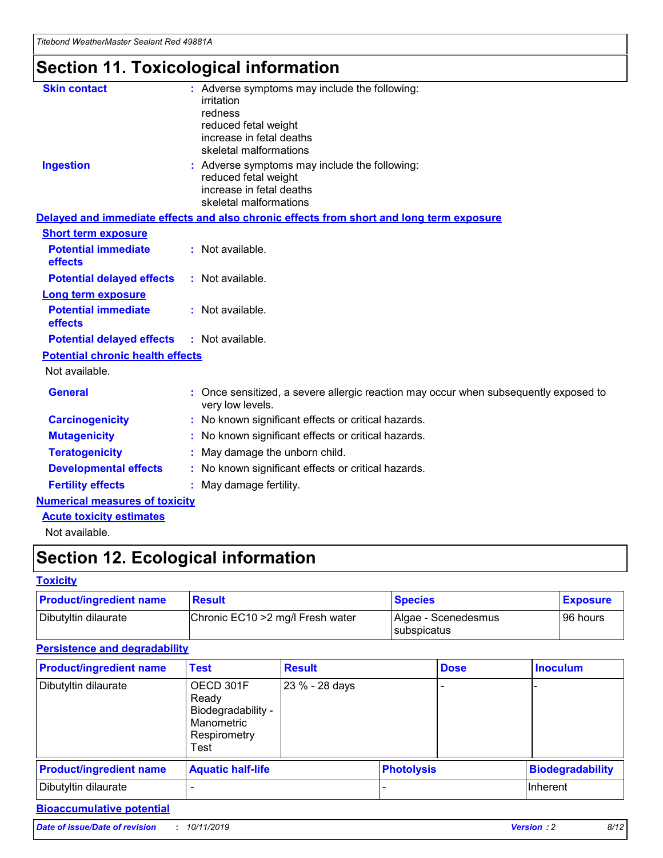## **Section 11. Toxicological information**

| <b>Skin contact</b>                     | : Adverse symptoms may include the following:<br>irritation<br>redness<br>reduced fetal weight<br>increase in fetal deaths<br>skeletal malformations |
|-----------------------------------------|------------------------------------------------------------------------------------------------------------------------------------------------------|
| <b>Ingestion</b>                        | : Adverse symptoms may include the following:<br>reduced fetal weight<br>increase in fetal deaths<br>skeletal malformations                          |
|                                         | Delayed and immediate effects and also chronic effects from short and long term exposure                                                             |
| <b>Short term exposure</b>              |                                                                                                                                                      |
| <b>Potential immediate</b><br>effects   | : Not available.                                                                                                                                     |
| <b>Potential delayed effects</b>        | : Not available.                                                                                                                                     |
| <b>Long term exposure</b>               |                                                                                                                                                      |
| <b>Potential immediate</b><br>effects   | : Not available.                                                                                                                                     |
| <b>Potential delayed effects</b>        | : Not available.                                                                                                                                     |
| <b>Potential chronic health effects</b> |                                                                                                                                                      |
| Not available.                          |                                                                                                                                                      |
| <b>General</b>                          | : Once sensitized, a severe allergic reaction may occur when subsequently exposed to<br>very low levels.                                             |
| <b>Carcinogenicity</b>                  | : No known significant effects or critical hazards.                                                                                                  |
| <b>Mutagenicity</b>                     | No known significant effects or critical hazards.                                                                                                    |
| <b>Teratogenicity</b>                   | May damage the unborn child.                                                                                                                         |
| <b>Developmental effects</b>            | No known significant effects or critical hazards.                                                                                                    |
| <b>Fertility effects</b>                | : May damage fertility.                                                                                                                              |
| <b>Numerical measures of toxicity</b>   |                                                                                                                                                      |
| <b>Acute toxicity estimates</b>         |                                                                                                                                                      |
|                                         |                                                                                                                                                      |

Not available.

## **Section 12. Ecological information**

#### **Toxicity**

| <b>Product/ingredient name</b> | <b>Result</b>                     | <b>Species</b>                       | <b>Exposure</b> |
|--------------------------------|-----------------------------------|--------------------------------------|-----------------|
| Dibutyltin dilaurate           | Chronic EC10 > 2 mg/l Fresh water | Algae - Scenedesmus<br>I subspicatus | l 96 hours      |

### **Persistence and degradability**

| <b>Product/ingredient name</b> | <b>Test</b>                                                                    | <b>Result</b>  |                   | <b>Dose</b> | <b>Inoculum</b>         |
|--------------------------------|--------------------------------------------------------------------------------|----------------|-------------------|-------------|-------------------------|
| Dibutyltin dilaurate           | OECD 301F<br>Ready<br>Biodegradability -<br>Manometric<br>Respirometry<br>Test | 23 % - 28 days |                   |             |                         |
| <b>Product/ingredient name</b> | <b>Aquatic half-life</b>                                                       |                | <b>Photolysis</b> |             | <b>Biodegradability</b> |
| Dibutyltin dilaurate           |                                                                                |                |                   |             | Inherent                |

#### **Bioaccumulative potential**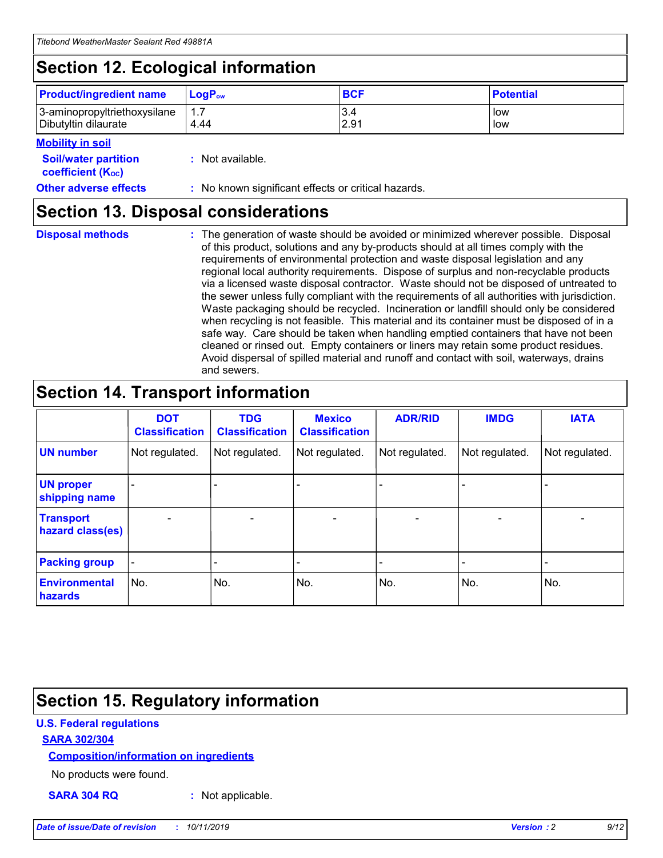## **Section 12. Ecological information**

| <b>Product/ingredient name</b> | $LoaPow$ | <b>BCF</b> | <b>Potential</b> |
|--------------------------------|----------|------------|------------------|
| 3-aminopropyltriethoxysilane   | 1.7      | 3.4        | low              |
| Dibutyltin dilaurate           | 4.44     | 2.91       | low              |

#### **Mobility in soil**

| <b>Soil/water partition</b><br>coefficient (K <sub>oc</sub> ) | : Not available.                                    |
|---------------------------------------------------------------|-----------------------------------------------------|
| <b>Other adverse effects</b>                                  | : No known significant effects or critical hazards. |

### **Section 13. Disposal considerations**

**Disposal methods :**

The generation of waste should be avoided or minimized wherever possible. Disposal of this product, solutions and any by-products should at all times comply with the requirements of environmental protection and waste disposal legislation and any regional local authority requirements. Dispose of surplus and non-recyclable products via a licensed waste disposal contractor. Waste should not be disposed of untreated to the sewer unless fully compliant with the requirements of all authorities with jurisdiction. Waste packaging should be recycled. Incineration or landfill should only be considered when recycling is not feasible. This material and its container must be disposed of in a safe way. Care should be taken when handling emptied containers that have not been cleaned or rinsed out. Empty containers or liners may retain some product residues. Avoid dispersal of spilled material and runoff and contact with soil, waterways, drains and sewers.

## **Section 14. Transport information**

|                                      | <b>DOT</b><br><b>Classification</b> | <b>TDG</b><br><b>Classification</b> | <b>Mexico</b><br><b>Classification</b> | <b>ADR/RID</b>           | <b>IMDG</b>              | <b>IATA</b>              |
|--------------------------------------|-------------------------------------|-------------------------------------|----------------------------------------|--------------------------|--------------------------|--------------------------|
| <b>UN number</b>                     | Not regulated.                      | Not regulated.                      | Not regulated.                         | Not regulated.           | Not regulated.           | Not regulated.           |
| <b>UN proper</b><br>shipping name    | $\qquad \qquad \blacksquare$        |                                     |                                        |                          |                          |                          |
| <b>Transport</b><br>hazard class(es) | $\blacksquare$                      | $\blacksquare$                      | $\blacksquare$                         | $\overline{\phantom{a}}$ | $\blacksquare$           | $\blacksquare$           |
| <b>Packing group</b>                 | $\overline{\phantom{a}}$            | $\overline{\phantom{0}}$            | $\qquad \qquad \blacksquare$           | -                        | $\overline{\phantom{0}}$ | $\overline{\phantom{a}}$ |
| <b>Environmental</b><br>hazards      | No.                                 | No.                                 | No.                                    | No.                      | No.                      | No.                      |

## **Section 15. Regulatory information**

#### **U.S. Federal regulations**

#### **SARA 302/304**

#### **Composition/information on ingredients**

No products were found.

**SARA 304 RQ :** Not applicable.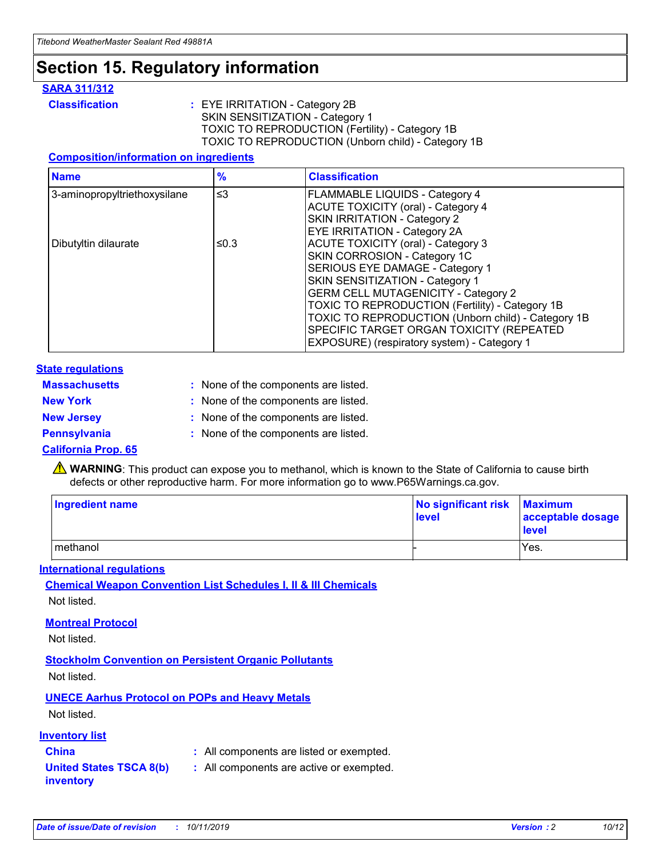## **Section 15. Regulatory information**

#### **SARA 311/312**

**Classification :** EYE IRRITATION - Category 2B SKIN SENSITIZATION - Category 1 TOXIC TO REPRODUCTION (Fertility) - Category 1B TOXIC TO REPRODUCTION (Unborn child) - Category 1B

#### **Composition/information on ingredients**

| <b>Name</b>                  | $\frac{9}{6}$ | <b>Classification</b>                                                                                                                                                                                                                                                                                                                  |
|------------------------------|---------------|----------------------------------------------------------------------------------------------------------------------------------------------------------------------------------------------------------------------------------------------------------------------------------------------------------------------------------------|
| 3-aminopropyltriethoxysilane | $\leq$ 3      | <b>FLAMMABLE LIQUIDS - Category 4</b><br><b>ACUTE TOXICITY (oral) - Category 4</b><br>SKIN IRRITATION - Category 2                                                                                                                                                                                                                     |
| Dibutyltin dilaurate         | ≤0.3          | EYE IRRITATION - Category 2A<br><b>ACUTE TOXICITY (oral) - Category 3</b><br>SKIN CORROSION - Category 1C<br>SERIOUS EYE DAMAGE - Category 1<br>SKIN SENSITIZATION - Category 1<br><b>GERM CELL MUTAGENICITY - Category 2</b><br>TOXIC TO REPRODUCTION (Fertility) - Category 1B<br>TOXIC TO REPRODUCTION (Unborn child) - Category 1B |
|                              |               | SPECIFIC TARGET ORGAN TOXICITY (REPEATED<br>EXPOSURE) (respiratory system) - Category 1                                                                                                                                                                                                                                                |

#### **State regulations**

| <b>Massachusetts</b> | : None of the components are listed. |
|----------------------|--------------------------------------|
| <b>New York</b>      | : None of the components are listed. |
| <b>New Jersey</b>    | : None of the components are listed. |
| <b>Pennsylvania</b>  | : None of the components are listed. |

#### **California Prop. 65**

**A** WARNING: This product can expose you to methanol, which is known to the State of California to cause birth defects or other reproductive harm. For more information go to www.P65Warnings.ca.gov.

| <b>Ingredient name</b> | No significant risk Maximum<br>level | acceptable dosage<br>level |
|------------------------|--------------------------------------|----------------------------|
| methanol               |                                      | Yes.                       |

#### **International regulations**

**Chemical Weapon Convention List Schedules I, II & III Chemicals** Not listed.

#### **Montreal Protocol**

Not listed.

**Stockholm Convention on Persistent Organic Pollutants**

Not listed.

#### **UNECE Aarhus Protocol on POPs and Heavy Metals**

Not listed.

#### **Inventory list**

### **China :** All components are listed or exempted.

**United States TSCA 8(b) inventory :** All components are active or exempted.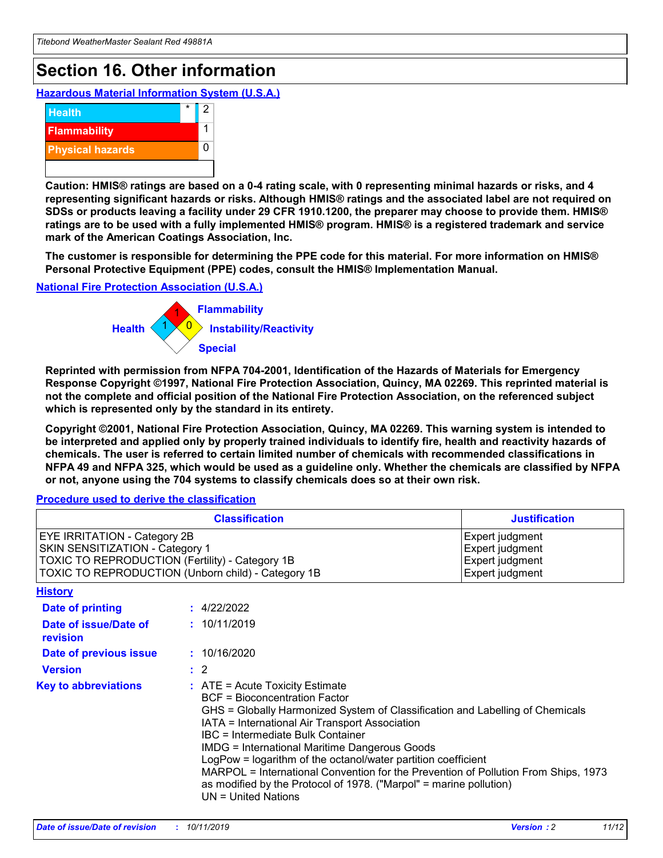## **Section 16. Other information**

**Hazardous Material Information System (U.S.A.)**



**Caution: HMIS® ratings are based on a 0-4 rating scale, with 0 representing minimal hazards or risks, and 4 representing significant hazards or risks. Although HMIS® ratings and the associated label are not required on SDSs or products leaving a facility under 29 CFR 1910.1200, the preparer may choose to provide them. HMIS® ratings are to be used with a fully implemented HMIS® program. HMIS® is a registered trademark and service mark of the American Coatings Association, Inc.**

**The customer is responsible for determining the PPE code for this material. For more information on HMIS® Personal Protective Equipment (PPE) codes, consult the HMIS® Implementation Manual.**

#### **National Fire Protection Association (U.S.A.)**



**Reprinted with permission from NFPA 704-2001, Identification of the Hazards of Materials for Emergency Response Copyright ©1997, National Fire Protection Association, Quincy, MA 02269. This reprinted material is not the complete and official position of the National Fire Protection Association, on the referenced subject which is represented only by the standard in its entirety.**

**Copyright ©2001, National Fire Protection Association, Quincy, MA 02269. This warning system is intended to be interpreted and applied only by properly trained individuals to identify fire, health and reactivity hazards of chemicals. The user is referred to certain limited number of chemicals with recommended classifications in NFPA 49 and NFPA 325, which would be used as a guideline only. Whether the chemicals are classified by NFPA or not, anyone using the 704 systems to classify chemicals does so at their own risk.**

#### **Procedure used to derive the classification**

| <b>Classification</b>                                                                                                                                                    |                                                                                                                                                                                                                                                                                                                                                                                                                                                                                                                                                               | <b>Justification</b>                                                     |
|--------------------------------------------------------------------------------------------------------------------------------------------------------------------------|---------------------------------------------------------------------------------------------------------------------------------------------------------------------------------------------------------------------------------------------------------------------------------------------------------------------------------------------------------------------------------------------------------------------------------------------------------------------------------------------------------------------------------------------------------------|--------------------------------------------------------------------------|
| EYE IRRITATION - Category 2B<br>SKIN SENSITIZATION - Category 1<br>TOXIC TO REPRODUCTION (Fertility) - Category 1B<br>TOXIC TO REPRODUCTION (Unborn child) - Category 1B |                                                                                                                                                                                                                                                                                                                                                                                                                                                                                                                                                               | Expert judgment<br>Expert judgment<br>Expert judgment<br>Expert judgment |
| <b>History</b>                                                                                                                                                           |                                                                                                                                                                                                                                                                                                                                                                                                                                                                                                                                                               |                                                                          |
| <b>Date of printing</b>                                                                                                                                                  | : 4/22/2022                                                                                                                                                                                                                                                                                                                                                                                                                                                                                                                                                   |                                                                          |
| Date of issue/Date of<br>revision                                                                                                                                        | : 10/11/2019                                                                                                                                                                                                                                                                                                                                                                                                                                                                                                                                                  |                                                                          |
| Date of previous issue                                                                                                                                                   | : 10/16/2020                                                                                                                                                                                                                                                                                                                                                                                                                                                                                                                                                  |                                                                          |
| <b>Version</b>                                                                                                                                                           | $\therefore$ 2                                                                                                                                                                                                                                                                                                                                                                                                                                                                                                                                                |                                                                          |
| <b>Key to abbreviations</b>                                                                                                                                              | $:$ ATE = Acute Toxicity Estimate<br><b>BCF</b> = Bioconcentration Factor<br>GHS = Globally Harmonized System of Classification and Labelling of Chemicals<br>IATA = International Air Transport Association<br>IBC = Intermediate Bulk Container<br><b>IMDG = International Maritime Dangerous Goods</b><br>LogPow = logarithm of the octanol/water partition coefficient<br>MARPOL = International Convention for the Prevention of Pollution From Ships, 1973<br>as modified by the Protocol of 1978. ("Marpol" = marine pollution)<br>UN = United Nations |                                                                          |